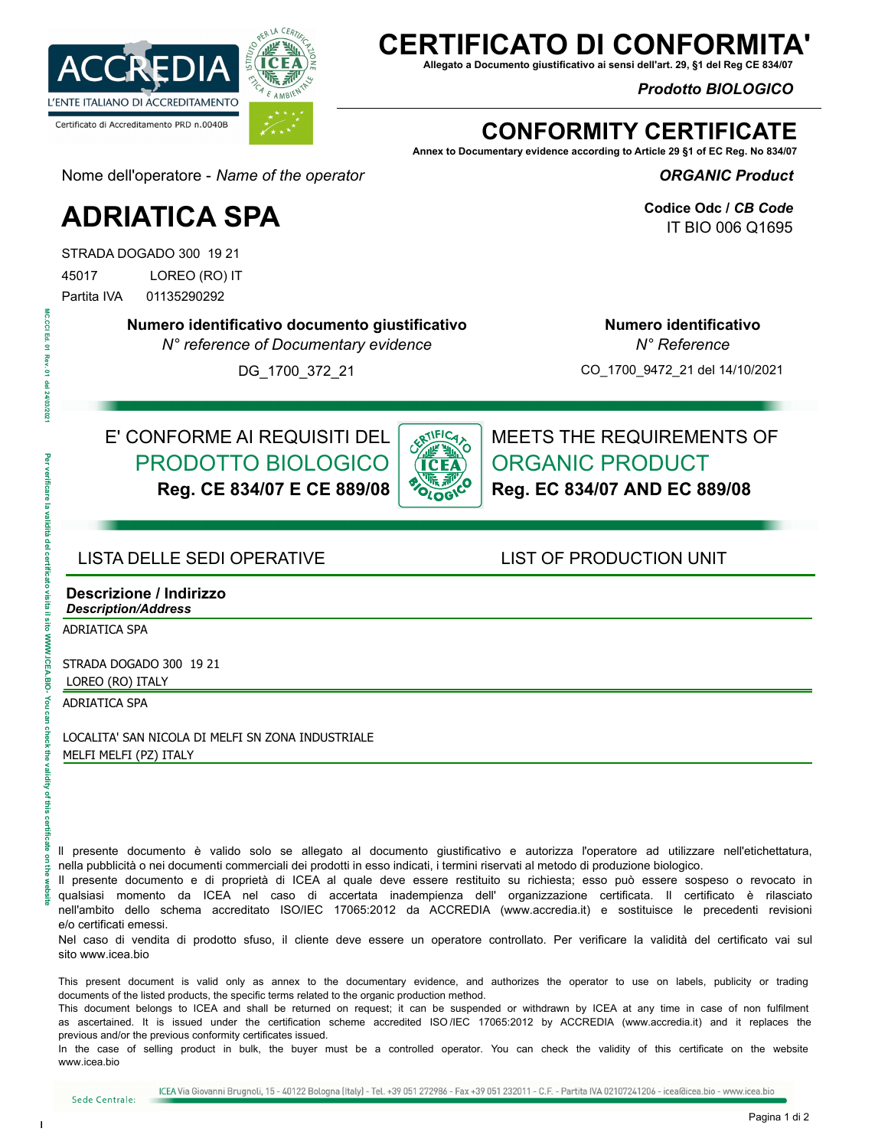

## **ERTIFICATO DI CONFORN**

**Allegato a Documento giustificativo ai sensi dell'art. 29, §1 del Reg CE 834/07**

*Prodotto BIOLOGICO* 

## **CONFORMITY CERTIFICATE**

**Annex to Documentary evidence according to Article 29 §1 of EC Reg. No 834/07**

*ORGANIC Product* 

**Codice Odc /** *CB Code* IT BIO 006 Q1695

Nome dell'operatore - *Name of the operator*

# **ADRIATICA SPA**

STRADA DOGADO 300 19 21

45017 LOREO (RO) IT

Partita IVA 01135290292

**Numero identificativo documento giustificativo**

*N° reference of Documentary evidence*

CO\_1700\_9472\_21 del 14/10/2021

**Numero identificativo**  *N° Reference*

DG\_1700\_372\_21

#### E' CONFORME AI REQUISITI DEL PRODOTTO BIOLOGICO **Reg. CE 834/07 E CE 889/08**



MEETS THE REQUIREMENTS OF ORGANIC PRODUCT **Reg. EC 834/07 AND EC 889/08**

#### LISTA DELLE SEDI OPERATIVE LIST OF PRODUCTION UNIT

#### **Descrizione / Indirizzo** *Description/Address*

ADRIATICA SPA

STRADA DOGADO 300 19 21 LOREO (RO) ITALY

ADRIATICA SPA

LOCALITA' SAN NICOLA DI MELFI SN ZONA INDUSTRIALE MELFI MELFI (PZ) ITALY

ll presente documento è valido solo se allegato al documento giustificativo e autorizza l'operatore ad utilizzare nell'etichettatura, nella pubblicità o nei documenti commerciali dei prodotti in esso indicati, i termini riservati al metodo di produzione biologico.

Il presente documento e di proprietà di ICEA al quale deve essere restituito su richiesta; esso può essere sospeso o revocato in qualsiasi momento da ICEA nel caso di accertata inadempienza dell' organizzazione certificata. Il certificato è rilasciato nell'ambito dello schema accreditato ISO/IEC 17065:2012 da ACCREDIA (www.accredia.it) e sostituisce le precedenti revisioni e/o certificati emessi.

Nel caso di vendita di prodotto sfuso, il cliente deve essere un operatore controllato. Per verificare la validità del certificato vai sul sito www.icea.bio

This present document is valid only as annex to the documentary evidence, and authorizes the operator to use on labels, publicity or trading documents of the listed products, the specific terms related to the organic production method.

This document belongs to ICEA and shall be returned on request; it can be suspended or withdrawn by ICEA at any time in case of non fulfilment as ascertained. It is issued under the certification scheme accredited ISO /IEC 17065:2012 by ACCREDIA (www.accredia.it) and it replaces the previous and/or the previous conformity certificates issued.

In the case of selling product in bulk, the buyer must be a controlled operator. You can check the validity of this certificate on the website www.icea.bio

MC.CCI Ed.